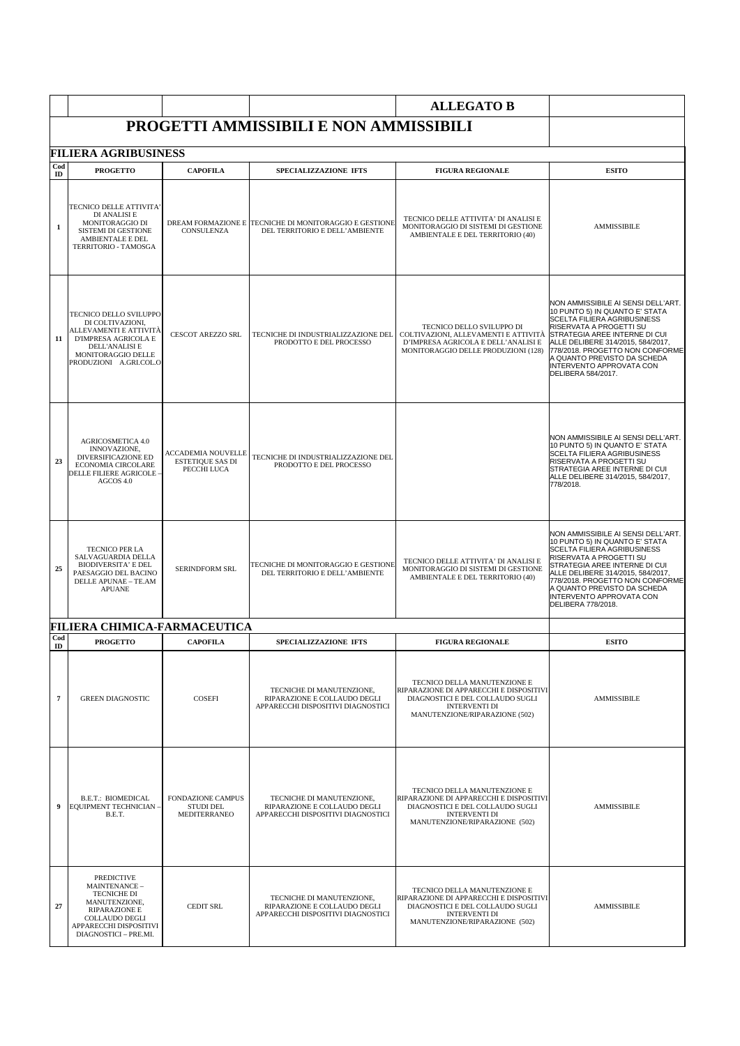|                      |                                                                                                                                                                       |                                                                     |                                                                                                 | <b>ALLEGATO B</b>                                                                                                                                                             |                                                                                                                                                                                                                                                                                                                                  |  |  |
|----------------------|-----------------------------------------------------------------------------------------------------------------------------------------------------------------------|---------------------------------------------------------------------|-------------------------------------------------------------------------------------------------|-------------------------------------------------------------------------------------------------------------------------------------------------------------------------------|----------------------------------------------------------------------------------------------------------------------------------------------------------------------------------------------------------------------------------------------------------------------------------------------------------------------------------|--|--|
|                      |                                                                                                                                                                       |                                                                     | PROGETTI AMMISSIBILI E NON AMMISSIBILI                                                          |                                                                                                                                                                               |                                                                                                                                                                                                                                                                                                                                  |  |  |
|                      | <b>FILIERA AGRIBUSINESS</b>                                                                                                                                           |                                                                     |                                                                                                 |                                                                                                                                                                               |                                                                                                                                                                                                                                                                                                                                  |  |  |
| Cod<br>ID            | <b>PROGETTO</b>                                                                                                                                                       | <b>CAPOFILA</b>                                                     | SPECIALIZZAZIONE IFTS                                                                           | <b>FIGURA REGIONALE</b>                                                                                                                                                       | <b>ESITO</b>                                                                                                                                                                                                                                                                                                                     |  |  |
| 1                    | TECNICO DELLE ATTIVITA'<br>DI ANALISI E<br>MONITORAGGIO DI<br>SISTEMI DI GESTIONE<br><b>AMBIENTALE E DEL</b><br>TERRITORIO - TAMOSGA                                  | CONSULENZA                                                          | DREAM FORMAZIONE E TECNICHE DI MONITORAGGIO E GESTIONE<br>DEL TERRITORIO E DELL'AMBIENTE        | TECNICO DELLE ATTIVITA' DI ANALISI E<br>MONITORAGGIO DI SISTEMI DI GESTIONE<br>AMBIENTALE E DEL TERRITORIO (40)                                                               | AMMISSIBILE                                                                                                                                                                                                                                                                                                                      |  |  |
| 11                   | TECNICO DELLO SVILUPPO<br>DI COLTIVAZIONI,<br>ALLEVAMENTI E ATTIVITÀ<br>D'IMPRESA AGRICOLA E<br><b>DELL'ANALISI E</b><br>MONITORAGGIO DELLE<br>PRODUZIONI A.GRI.COL.O | <b>CESCOT AREZZO SRL</b>                                            | TECNICHE DI INDUSTRIALIZZAZIONE DEL<br>PRODOTTO E DEL PROCESSO                                  | TECNICO DELLO SVILUPPO DI<br>COLTIVAZIONI, ALLEVAMENTI E ATTIVITÀ STRATEGIA AREE INTERNE DI CUI<br>D'IMPRESA AGRICOLA E DELL'ANALISI E<br>MONITORAGGIO DELLE PRODUZIONI (128) | NON AMMISSIBILE AI SENSI DELL'ART.<br>10 PUNTO 5) IN QUANTO E' STATA<br>SCELTA FILIERA AGRIBUSINESS<br>RISERVATA A PROGETTI SU<br>ALLE DELIBERE 314/2015. 584/2017.<br>778/2018. PROGETTO NON CONFORME<br>A QUANTO PREVISTO DA SCHEDA<br>INTERVENTO APPROVATA CON<br>DELIBERA 584/2017.                                          |  |  |
| 23                   | <b>AGRICOSMETICA 4.0</b><br>INNOVAZIONE,<br>DIVERSIFICAZIONE ED<br>ECONOMIA CIRCOLARE<br>DELLE FILIERE AGRICOLE –<br>AGCOS 4.0                                        | <b>ACCADEMIA NOUVELLE</b><br><b>ESTETIQUE SAS DI</b><br>PECCHI LUCA | TECNICHE DI INDUSTRIALIZZAZIONE DEL<br>PRODOTTO E DEL PROCESSO                                  |                                                                                                                                                                               | NON AMMISSIBILE AI SENSI DELL'ART.<br>10 PUNTO 5) IN QUANTO E' STATA<br>SCELTA FILIERA AGRIBUSINESS<br>RISERVATA A PROGETTI SU<br>STRATEGIA AREE INTERNE DI CUI<br>ALLE DELIBERE 314/2015, 584/2017,<br>778/2018.                                                                                                                |  |  |
| 25                   | TECNICO PER LA<br>SALVAGUARDIA DELLA<br><b>BIODIVERSITA' E DEL</b><br>PAESAGGIO DEL BACINO<br>DELLE APUNAE - TE.AM<br><b>APUANE</b>                                   | <b>SERINDFORM SRL</b>                                               | TECNICHE DI MONITORAGGIO E GESTIONE<br>DEL TERRITORIO E DELL'AMBIENTE                           | TECNICO DELLE ATTIVITA' DI ANALISI E<br>MONITORAGGIO DI SISTEMI DI GESTIONE<br>AMBIENTALE E DEL TERRITORIO (40)                                                               | NON AMMISSIBILE AI SENSI DELL'ART.<br>10 PUNTO 5) IN QUANTO E' STATA<br><b>SCELTA FILIERA AGRIBUSINESS</b><br>RISERVATA A PROGETTI SU<br>STRATEGIA AREE INTERNE DI CUI<br>ALLE DELIBERE 314/2015, 584/2017,<br>778/2018. PROGETTO NON CONFORME<br>ÍA QUANTO PREVISTO DA SCHEDA<br>INTERVENTO APPROVATA CON<br>DELIBERA 778/2018. |  |  |
|                      | FILIERA CHIMICA-FARMACEUTICA                                                                                                                                          |                                                                     |                                                                                                 |                                                                                                                                                                               |                                                                                                                                                                                                                                                                                                                                  |  |  |
| Cod<br>$\mathbf{ID}$ | <b>PROGETTO</b>                                                                                                                                                       | <b>CAPOFILA</b>                                                     | <b>SPECIALIZZAZIONE IFTS</b>                                                                    | <b>FIGURA REGIONALE</b>                                                                                                                                                       | <b>ESITO</b>                                                                                                                                                                                                                                                                                                                     |  |  |
| $\overline{7}$       | <b>GREEN DIAGNOSTIC</b>                                                                                                                                               | <b>COSEFI</b>                                                       | TECNICHE DI MANUTENZIONE,<br>RIPARAZIONE E COLLAUDO DEGLI<br>APPARECCHI DISPOSITIVI DIAGNOSTICI | TECNICO DELLA MANUTENZIONE E<br>RIPARAZIONE DI APPARECCHI E DISPOSITIVI<br>DIAGNOSTICI E DEL COLLAUDO SUGLI<br><b>INTERVENTI DI</b><br>MANUTENZIONE/RIPARAZIONE (502)         | <b>AMMISSIBILE</b>                                                                                                                                                                                                                                                                                                               |  |  |
| 9                    | <b>B.E.T.: BIOMEDICAL</b><br>EQUIPMENT TECHNICIAN<br>B.E.T.                                                                                                           | FONDAZIONE CAMPUS<br><b>STUDI DEL</b><br>MEDITERRANEO               | TECNICHE DI MANUTENZIONE,<br>RIPARAZIONE E COLLAUDO DEGLI<br>APPARECCHI DISPOSITIVI DIAGNOSTICI | TECNICO DELLA MANUTENZIONE E<br>RIPARAZIONE DI APPARECCHI E DISPOSITIVI<br>DIAGNOSTICI E DEL COLLAUDO SUGLI<br><b>INTERVENTI DI</b><br>MANUTENZIONE/RIPARAZIONE (502)         | AMMISSIBILE                                                                                                                                                                                                                                                                                                                      |  |  |
| 27                   | PREDICTIVE<br>MAINTENANCE-<br><b>TECNICHE DI</b><br>MANUTENZIONE,<br>RIPARAZIONE E<br><b>COLLAUDO DEGLI</b><br>APPARECCHI DISPOSITIVI<br>DIAGNOSTICI - PRE.MI.        | <b>CEDIT SRL</b>                                                    | TECNICHE DI MANUTENZIONE,<br>RIPARAZIONE E COLLAUDO DEGLI<br>APPARECCHI DISPOSITIVI DIAGNOSTICI | TECNICO DELLA MANUTENZIONE E<br>RIPARAZIONE DI APPARECCHI E DISPOSITIVI<br>DIAGNOSTICI E DEL COLLAUDO SUGLI<br><b>INTERVENTI DI</b><br>MANUTENZIONE/RIPARAZIONE (502)         | AMMISSIBILE                                                                                                                                                                                                                                                                                                                      |  |  |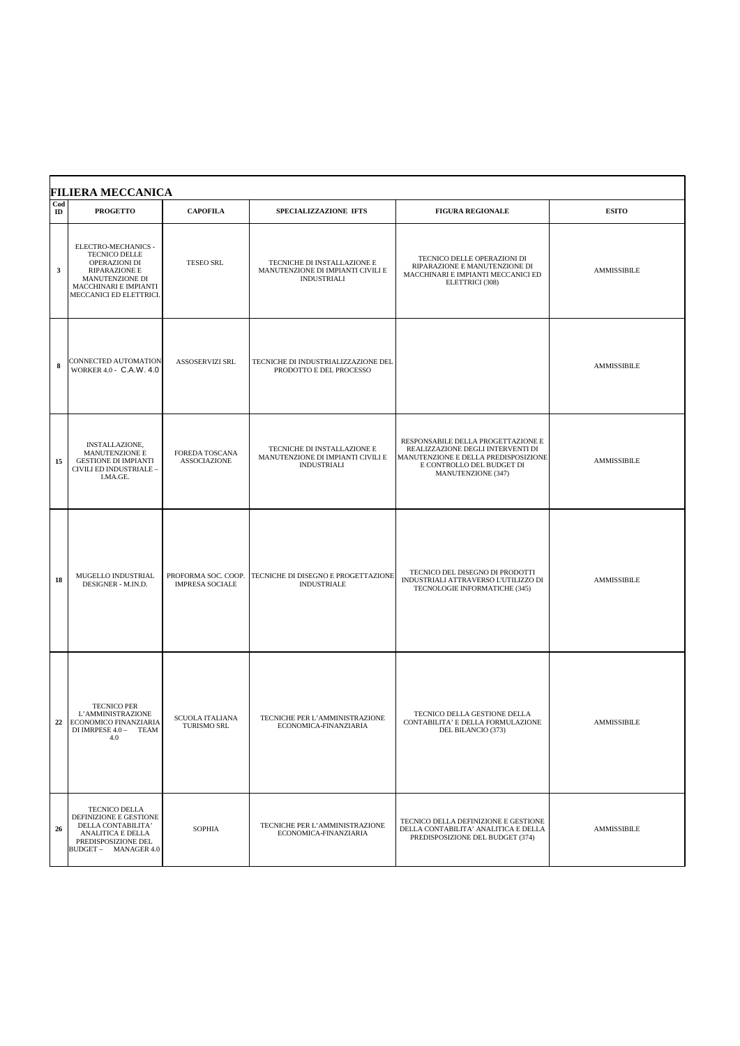|              | <b>FILIERA MECCANICA</b>                                                                                                                      |                                               |                                                                                        |                                                                                                                                                                    |              |  |
|--------------|-----------------------------------------------------------------------------------------------------------------------------------------------|-----------------------------------------------|----------------------------------------------------------------------------------------|--------------------------------------------------------------------------------------------------------------------------------------------------------------------|--------------|--|
| Cod<br>ID    | <b>PROGETTO</b>                                                                                                                               | <b>CAPOFILA</b>                               | SPECIALIZZAZIONE IFTS                                                                  | <b>FIGURA REGIONALE</b>                                                                                                                                            | <b>ESITO</b> |  |
| $\mathbf{3}$ | ELECTRO-MECHANICS -<br>TECNICO DELLE<br>OPERAZIONI DI<br>RIPARAZIONE E<br>MANUTENZIONE DI<br>MACCHINARI E IMPIANTI<br>MECCANICI ED ELETTRICI. | <b>TESEO SRL</b>                              | TECNICHE DI INSTALLAZIONE E<br>MANUTENZIONE DI IMPIANTI CIVILI E<br><b>INDUSTRIALI</b> | TECNICO DELLE OPERAZIONI DI<br>RIPARAZIONE E MANUTENZIONE DI<br>MACCHINARI E IMPIANTI MECCANICI ED<br>ELETTRICI (308)                                              | AMMISSIBILE  |  |
| 8            | CONNECTED AUTOMATION<br>WORKER 4.0 - C.A.W. 4.0                                                                                               | ASSOSERVIZI SRL                               | TECNICHE DI INDUSTRIALIZZAZIONE DEL<br>PRODOTTO E DEL PROCESSO                         |                                                                                                                                                                    | AMMISSIBILE  |  |
| 15           | INSTALLAZIONE.<br>MANUTENZIONE E<br><b>GESTIONE DI IMPIANTI</b><br>CIVILI ED INDUSTRIALE-<br>I.MA.GE.                                         | FOREDA TOSCANA<br><b>ASSOCIAZIONE</b>         | TECNICHE DI INSTALLAZIONE E<br>MANUTENZIONE DI IMPIANTI CIVILI E<br><b>INDUSTRIALI</b> | RESPONSABILE DELLA PROGETTAZIONE E<br>REALIZZAZIONE DEGLI INTERVENTI DI<br>MANUTENZIONE E DELLA PREDISPOSIZIONE<br>E CONTROLLO DEL BUDGET DI<br>MANUTENZIONE (347) | AMMISSIBILE  |  |
| 18           | MUGELLO INDUSTRIAL<br>DESIGNER - M.IN.D.                                                                                                      | PROFORMA SOC. COOP.<br><b>IMPRESA SOCIALE</b> | TECNICHE DI DISEGNO E PROGETTAZIONE<br><b>INDUSTRIALE</b>                              | TECNICO DEL DISEGNO DI PRODOTTI<br>INDUSTRIALI ATTRAVERSO L'UTILIZZO DI<br>TECNOLOGIE INFORMATICHE (345)                                                           | AMMISSIBILE  |  |
| 22           | <b>TECNICO PER</b><br>L'AMMINISTRAZIONE<br><b>ECONOMICO FINANZIARIA</b><br>DI IMRPESE 4.0 - TEAM<br>4.0                                       | <b>SCUOLA ITALIANA</b><br><b>TURISMO SRL</b>  | TECNICHE PER L'AMMINISTRAZIONE<br>ECONOMICA-FINANZIARIA                                | TECNICO DELLA GESTIONE DELLA<br>CONTABILITA' E DELLA FORMULAZIONE<br>DEL BILANCIO (373)                                                                            | AMMISSIBILE  |  |
| 26           | TECNICO DELLA<br>DEFINIZIONE E GESTIONE<br>DELLA CONTABILITA'<br>ANALITICA E DELLA<br>PREDISPOSIZIONE DEL<br>BUDGET - MANAGER 4.0             | <b>SOPHIA</b>                                 | TECNICHE PER L'AMMINISTRAZIONE<br>ECONOMICA-FINANZIARIA                                | TECNICO DELLA DEFINIZIONE E GESTIONE<br>DELLA CONTABILITA' ANALITICA E DELLA<br>PREDISPOSIZIONE DEL BUDGET (374)                                                   | AMMISSIBILE  |  |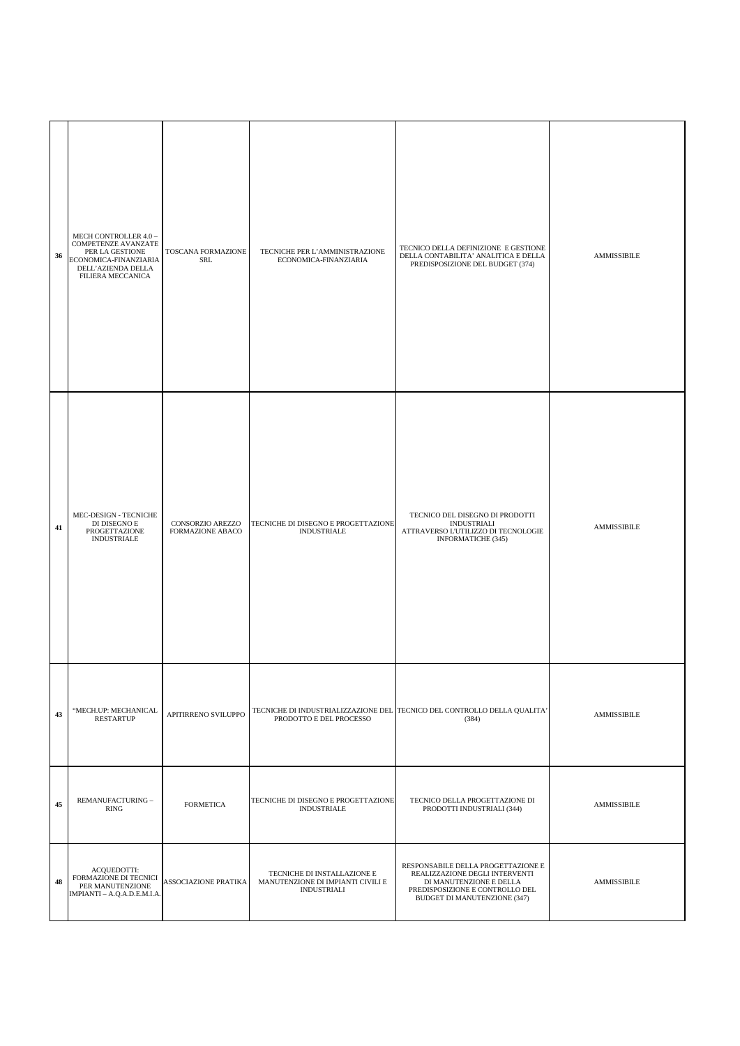| 36 | MECH CONTROLLER 4.0 -<br>COMPETENZE AVANZATE<br>PER LA GESTIONE<br>ECONOMICA-FINANZIARIA<br>DELL'AZIENDA DELLA<br>FILIERA MECCANICA | TOSCANA FORMAZIONE<br>SRL            | TECNICHE PER L'AMMINISTRAZIONE<br>ECONOMICA-FINANZIARIA                                | TECNICO DELLA DEFINIZIONE E GESTIONE<br>DELLA CONTABILITA' ANALITICA E DELLA<br>PREDISPOSIZIONE DEL BUDGET (374)                                                   | AMMISSIBILE |
|----|-------------------------------------------------------------------------------------------------------------------------------------|--------------------------------------|----------------------------------------------------------------------------------------|--------------------------------------------------------------------------------------------------------------------------------------------------------------------|-------------|
| 41 | MEC-DESIGN - TECNICHE<br>DI DISEGNO E<br>PROGETTAZIONE<br><b>INDUSTRIALE</b>                                                        | CONSORZIO AREZZO<br>FORMAZIONE ABACO | TECNICHE DI DISEGNO E PROGETTAZIONE<br><b>INDUSTRIALE</b>                              | TECNICO DEL DISEGNO DI PRODOTTI<br><b>INDUSTRIALI</b><br>ATTRAVERSO L'UTILIZZO DI TECNOLOGIE<br>INFORMATICHE (345)                                                 | AMMISSIBILE |
| 43 | "MECH.UP: MECHANICAL<br><b>RESTARTUP</b>                                                                                            | APITIRRENO SVILUPPO                  | PRODOTTO E DEL PROCESSO                                                                | TECNICHE DI INDUSTRIALIZZAZIONE DEL TECNICO DEL CONTROLLO DELLA QUALITA'<br>(384)                                                                                  | AMMISSIBILE |
| 45 | REMANUFACTURING -<br>RING                                                                                                           | <b>FORMETICA</b>                     | TECNICHE DI DISEGNO E PROGETTAZIONE<br><b>INDUSTRIALE</b>                              | TECNICO DELLA PROGETTAZIONE DI<br>PRODOTTI INDUSTRIALI (344)                                                                                                       | AMMISSIBILE |
| 48 | ACQUEDOTTI:<br>FORMAZIONE DI TECNICI<br>PER MANUTENZIONE<br>IMPIANTI - A.Q.A.D.E.M.I.A.                                             | ASSOCIAZIONE PRATIKA                 | TECNICHE DI INSTALLAZIONE E<br>MANUTENZIONE DI IMPIANTI CIVILI E<br><b>INDUSTRIALI</b> | RESPONSABILE DELLA PROGETTAZIONE E<br>REALIZZAZIONE DEGLI INTERVENTI<br>DI MANUTENZIONE E DELLA<br>PREDISPOSIZIONE E CONTROLLO DEL<br>BUDGET DI MANUTENZIONE (347) | AMMISSIBILE |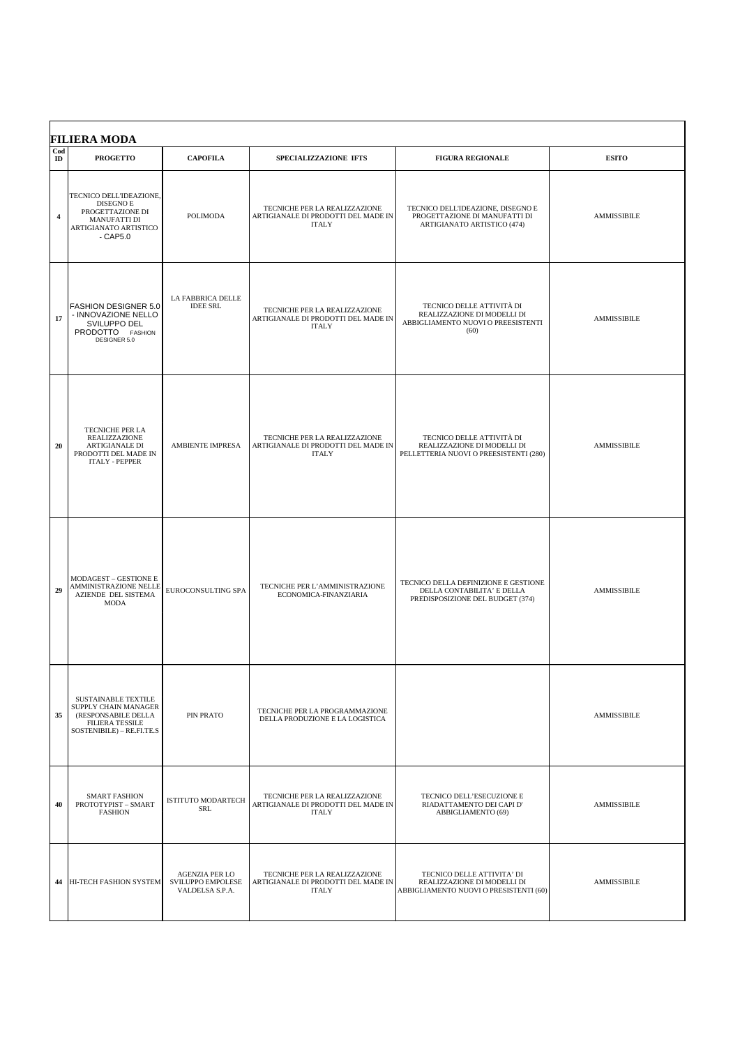|                                 | <b>FILIERA MODA</b>                                                                                                              |                                                               |                                                                                      |                                                                                                        |                    |  |
|---------------------------------|----------------------------------------------------------------------------------------------------------------------------------|---------------------------------------------------------------|--------------------------------------------------------------------------------------|--------------------------------------------------------------------------------------------------------|--------------------|--|
| $\mathbf{Cod}$<br>$\mathbf{ID}$ | <b>PROGETTO</b>                                                                                                                  | <b>CAPOFILA</b>                                               | SPECIALIZZAZIONE IFTS                                                                | <b>FIGURA REGIONALE</b>                                                                                | <b>ESITO</b>       |  |
| $\overline{\mathbf{4}}$         | TECNICO DELL'IDEAZIONE,<br>DISEGNO E<br>PROGETTAZIONE DI<br><b>MANUFATTI DI</b><br>ARTIGIANATO ARTISTICO<br>$-CAP5.0$            | POLIMODA                                                      | TECNICHE PER LA REALIZZAZIONE<br>ARTIGIANALE DI PRODOTTI DEL MADE IN<br><b>ITALY</b> | TECNICO DELL'IDEAZIONE, DISEGNO E<br>PROGETTAZIONE DI MANUFATTI DI<br>ARTIGIANATO ARTISTICO (474)      | AMMISSIBILE        |  |
| 17                              | <b>FASHION DESIGNER 5.0</b><br>- INNOVAZIONE NELLO<br>SVILUPPO DEL<br>PRODOTTO FASHION<br>DESIGNER 5.0                           | LA FABBRICA DELLE<br><b>IDEE SRL</b>                          | TECNICHE PER LA REALIZZAZIONE<br>ARTIGIANALE DI PRODOTTI DEL MADE IN<br><b>ITALY</b> | TECNICO DELLE ATTIVITÀ DI<br>REALIZZAZIONE DI MODELLI DI<br>ABBIGLIAMENTO NUOVI O PREESISTENTI<br>(60) | AMMISSIBILE        |  |
| 20                              | <b>TECNICHE PER LA</b><br>REALIZZAZIONE<br><b>ARTIGIANALE DI</b><br>PRODOTTI DEL MADE IN<br><b>ITALY - PEPPER</b>                | <b>AMBIENTE IMPRESA</b>                                       | TECNICHE PER LA REALIZZAZIONE<br>ARTIGIANALE DI PRODOTTI DEL MADE IN<br><b>ITALY</b> | TECNICO DELLE ATTIVITÀ DI<br>REALIZZAZIONE DI MODELLI DI<br>PELLETTERIA NUOVI O PREESISTENTI (280)     | <b>AMMISSIBILE</b> |  |
| 29                              | MODAGEST - GESTIONE E<br>AMMINISTRAZIONE NELLE<br>AZIENDE DEL SISTEMA<br><b>MODA</b>                                             | EUROCONSULTING SPA                                            | TECNICHE PER L'AMMINISTRAZIONE<br>ECONOMICA-FINANZIARIA                              | TECNICO DELLA DEFINIZIONE E GESTIONE<br>DELLA CONTABILITA' E DELLA<br>PREDISPOSIZIONE DEL BUDGET (374) | AMMISSIBILE        |  |
| 35                              | <b>SUSTAINABLE TEXTILE</b><br>SUPPLY CHAIN MANAGER<br>(RESPONSABILE DELLA<br><b>FILIERA TESSILE</b><br>SOSTENIBILE) - RE.FI.TE.S | PIN PRATO                                                     | TECNICHE PER LA PROGRAMMAZIONE<br>DELLA PRODUZIONE E LA LOGISTICA                    |                                                                                                        | AMMISSIBILE        |  |
| 40                              | <b>SMART FASHION</b><br>PROTOTYPIST - SMART<br><b>FASHION</b>                                                                    | <b>ISTITUTO MODARTECH</b><br><b>SRL</b>                       | TECNICHE PER LA REALIZZAZIONE<br>ARTIGIANALE DI PRODOTTI DEL MADE IN<br><b>ITALY</b> | TECNICO DELL'ESECUZIONE E<br>RIADATTAMENTO DEI CAPI D'<br>ABBIGLIAMENTO (69)                           | <b>AMMISSIBILE</b> |  |
|                                 | 44 HI-TECH FASHION SYSTEM                                                                                                        | <b>AGENZIA PER LO</b><br>SVILUPPO EMPOLESE<br>VALDELSA S.P.A. | TECNICHE PER LA REALIZZAZIONE<br>ARTIGIANALE DI PRODOTTI DEL MADE IN<br><b>ITALY</b> | TECNICO DELLE ATTIVITA' DI<br>REALIZZAZIONE DI MODELLI DI<br>ABBIGLIAMENTO NUOVI O PRESISTENTI (60)    | AMMISSIBILE        |  |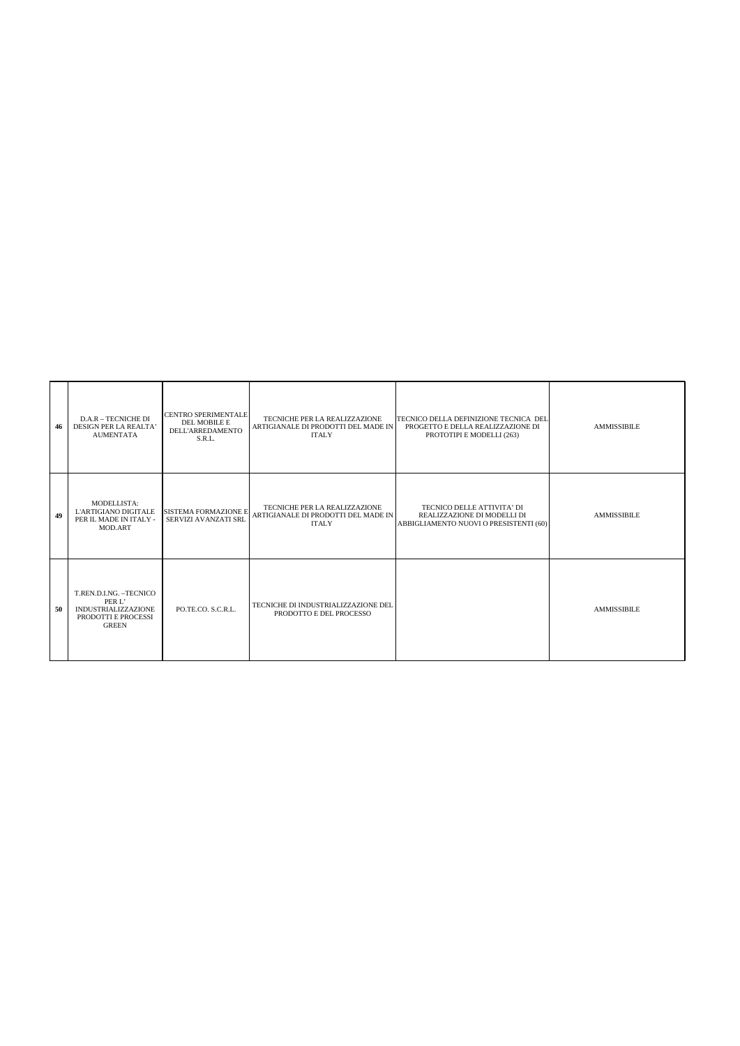| 46 | <b>D.A.R - TECNICHE DI</b><br>DESIGN PER LA REALTA'<br><b>AUMENTATA</b>                                | <b>CENTRO SPERIMENTALE</b><br><b>DEL MOBILE E</b><br>DELL'ARREDAMENTO<br>S.R.L. | TECNICHE PER LA REALIZZAZIONE<br>ARTIGIANALE DI PRODOTTI DEL MADE IN<br><b>ITALY</b> | TECNICO DELLA DEFINIZIONE TECNICA DEL<br>PROGETTO E DELLA REALIZZAZIONE DI<br>PROTOTIPI E MODELLI (263) | <b>AMMISSIBILE</b> |
|----|--------------------------------------------------------------------------------------------------------|---------------------------------------------------------------------------------|--------------------------------------------------------------------------------------|---------------------------------------------------------------------------------------------------------|--------------------|
| 49 | MODELLISTA:<br>L'ARTIGIANO DIGITALE<br>PER IL MADE IN ITALY -<br>MOD.ART                               | <b>SISTEMA FORMAZIONE E</b><br>SERVIZI AVANZATI SRL                             | TECNICHE PER LA REALIZZAZIONE<br>ARTIGIANALE DI PRODOTTI DEL MADE IN<br><b>ITALY</b> | TECNICO DELLE ATTIVITA' DI<br>REALIZZAZIONE DI MODELLI DI<br>ABBIGLIAMENTO NUOVI O PRESISTENTI (60)     | <b>AMMISSIBILE</b> |
| 50 | T.REN.D.I.NG. - TECNICO<br>PER L'<br><b>INDUSTRIALIZZAZIONE</b><br>PRODOTTI E PROCESSI<br><b>GREEN</b> | PO.TE.CO. S.C.R.L.                                                              | TECNICHE DI INDUSTRIALIZZAZIONE DEL<br>PRODOTTO E DEL PROCESSO                       |                                                                                                         | <b>AMMISSIBILE</b> |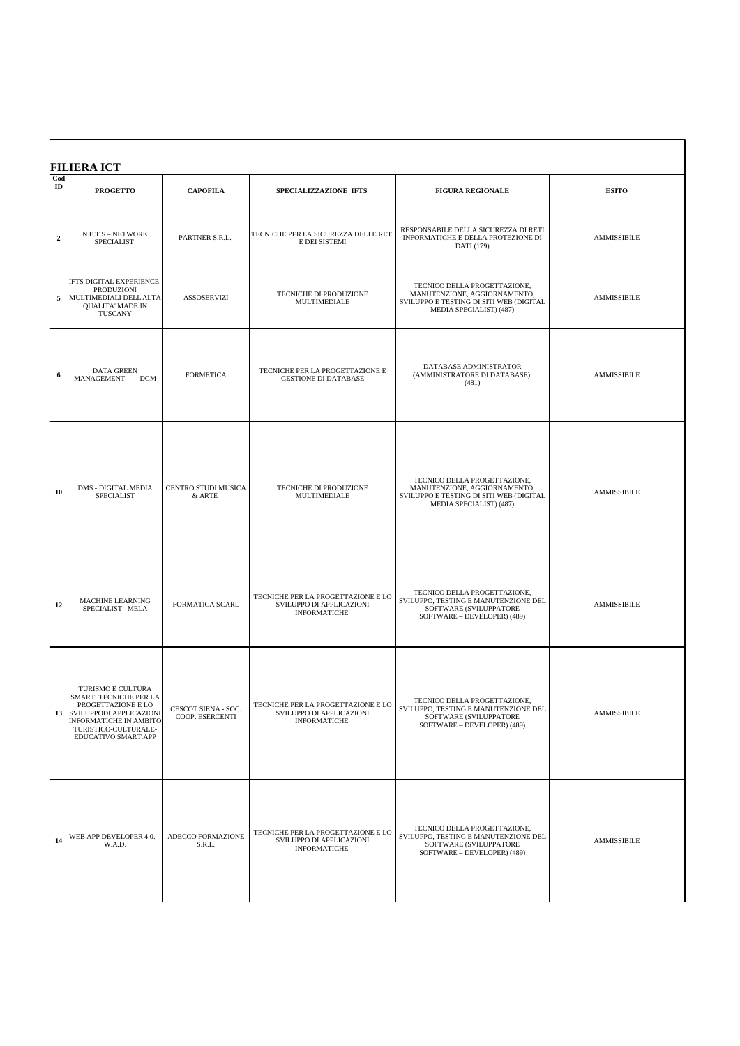| Cod<br>ID        | <b>FILIERA ICT</b><br><b>PROGETTO</b>                                                                                                                                        | <b>CAPOFILA</b>                        | SPECIALIZZAZIONE IFTS                                                                 | <b>FIGURA REGIONALE</b>                                                                                                            | <b>ESITO</b>       |  |
|------------------|------------------------------------------------------------------------------------------------------------------------------------------------------------------------------|----------------------------------------|---------------------------------------------------------------------------------------|------------------------------------------------------------------------------------------------------------------------------------|--------------------|--|
| $\boldsymbol{2}$ | N.E.T.S - NETWORK<br><b>SPECIALIST</b>                                                                                                                                       | PARTNER S.R.L.                         | TECNICHE PER LA SICUREZZA DELLE RETI<br>E DEI SISTEMI                                 | RESPONSABILE DELLA SICUREZZA DI RETI<br>INFORMATICHE E DELLA PROTEZIONE DI<br>DATI (179)                                           | <b>AMMISSIBILE</b> |  |
| 5                | IFTS DIGITAL EXPERIENCE-<br>PRODUZIONI<br>MULTIMEDIALI DELL'ALTA<br><b>QUALITA' MADE IN</b><br>TUSCANY                                                                       | <b>ASSOSERVIZI</b>                     | TECNICHE DI PRODUZIONE<br>MULTIMEDIALE                                                | TECNICO DELLA PROGETTAZIONE,<br>MANUTENZIONE, AGGIORNAMENTO,<br>SVILUPPO E TESTING DI SITI WEB (DIGITAL<br>MEDIA SPECIALIST) (487) | <b>AMMISSIBILE</b> |  |
| 6                | DATA GREEN<br>MANAGEMENT - DGM                                                                                                                                               | <b>FORMETICA</b>                       | TECNICHE PER LA PROGETTAZIONE E<br><b>GESTIONE DI DATABASE</b>                        | DATABASE ADMINISTRATOR<br>(AMMINISTRATORE DI DATABASE)<br>(481)                                                                    | <b>AMMISSIBILE</b> |  |
| 10               | <b>DMS - DIGITAL MEDIA</b><br>SPECIALIST                                                                                                                                     | CENTRO STUDI MUSICA<br>$&$ ARTE        | TECNICHE DI PRODUZIONE<br>MULTIMEDIALE                                                | TECNICO DELLA PROGETTAZIONE,<br>MANUTENZIONE, AGGIORNAMENTO.<br>SVILUPPO E TESTING DI SITI WEB (DIGITAL<br>MEDIA SPECIALIST) (487) | AMMISSIBILE        |  |
| 12               | <b>MACHINE LEARNING</b><br>SPECIALIST MELA                                                                                                                                   | FORMATICA SCARL                        | TECNICHE PER LA PROGETTAZIONE E LO<br>SVILUPPO DI APPLICAZIONI<br><b>INFORMATICHE</b> | TECNICO DELLA PROGETTAZIONE,<br>SVILUPPO, TESTING E MANUTENZIONE DEL<br>SOFTWARE (SVILUPPATORE<br>SOFTWARE - DEVELOPER) (489)      | AMMISSIBILE        |  |
| 13               | TURISMO E CULTURA<br>SMART: TECNICHE PER LA<br>PROGETTAZIONE E LO<br>SVILUPPODI APPLICAZIONI<br><b>INFORMATICHE IN AMBITO</b><br>TURISTICO-CULTURALE-<br>EDUCATIVO SMART.APP | CESCOT SIENA - SOC.<br>COOP. ESERCENTI | TECNICHE PER LA PROGETTAZIONE E LO<br>SVILUPPO DI APPLICAZIONI<br><b>INFORMATICHE</b> | TECNICO DELLA PROGETTAZIONE,<br>SVILUPPO, TESTING E MANUTENZIONE DEL<br>SOFTWARE (SVILUPPATORE<br>SOFTWARE - DEVELOPER) (489)      | <b>AMMISSIBILE</b> |  |
| 14               | WEB APP DEVELOPER 4.0. -<br>W.A.D.                                                                                                                                           | ADECCO FORMAZIONE<br>S.R.L.            | TECNICHE PER LA PROGETTAZIONE E LO<br>SVILUPPO DI APPLICAZIONI<br><b>INFORMATICHE</b> | TECNICO DELLA PROGETTAZIONE.<br>SVILUPPO, TESTING E MANUTENZIONE DEL<br>SOFTWARE (SVILUPPATORE<br>SOFTWARE - DEVELOPER) (489)      | AMMISSIBILE        |  |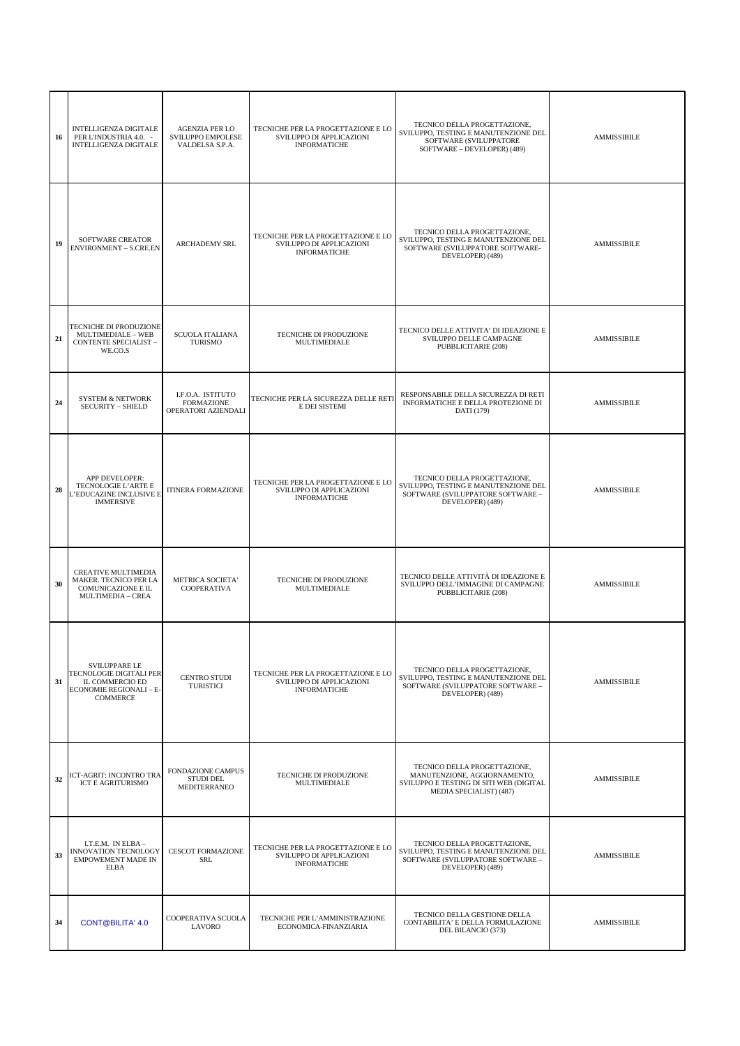| 16 | INTELLIGENZA DIGITALE<br>PER L'INDUSTRIA 4.0. -<br><b>INTELLIGENZA DIGITALE</b>                           | <b>AGENZIA PER LO</b><br>SVILUPPO EMPOLESE<br>VALDELSA S.P.A. | TECNICHE PER LA PROGETTAZIONE E LO<br>SVILUPPO DI APPLICAZIONI<br><b>INFORMATICHE</b> | TECNICO DELLA PROGETTAZIONE.<br>SVILUPPO, TESTING E MANUTENZIONE DEL<br>SOFTWARE (SVILUPPATORE<br>SOFTWARE - DEVELOPER) (489)      | <b>AMMISSIBILE</b> |
|----|-----------------------------------------------------------------------------------------------------------|---------------------------------------------------------------|---------------------------------------------------------------------------------------|------------------------------------------------------------------------------------------------------------------------------------|--------------------|
| 19 | SOFTWARE CREATOR<br><b>ENVIRONMENT - S.CRE.EN</b>                                                         | <b>ARCHADEMY SRL</b>                                          | TECNICHE PER LA PROGETTAZIONE E LO<br>SVILUPPO DI APPLICAZIONI<br><b>INFORMATICHE</b> | TECNICO DELLA PROGETTAZIONE,<br>SVILUPPO, TESTING E MANUTENZIONE DEL<br>SOFTWARE (SVILUPPATORE SOFTWARE-<br>DEVELOPER) (489)       | AMMISSIBILE        |
| 21 | TECNICHE DI PRODUZIONE<br>MULTIMEDIALE - WEB<br><b>CONTENTE SPECIALIST -</b><br>WE.CO.S                   | SCUOLA ITALIANA<br>TURISMO                                    | TECNICHE DI PRODUZIONE<br>MULTIMEDIALE                                                | TECNICO DELLE ATTIVITA' DI IDEAZIONE E<br>SVILUPPO DELLE CAMPAGNE<br>PUBBLICITARIE (208)                                           | <b>AMMISSIBILE</b> |
| 24 | <b>SYSTEM &amp; NETWORK</b><br><b>SECURITY - SHIELD</b>                                                   | I.F.O.A. ISTITUTO<br><b>FORMAZIONE</b><br>OPERATORI AZIENDALI | TECNICHE PER LA SICUREZZA DELLE RETI<br>E DEI SISTEMI                                 | RESPONSABILE DELLA SICUREZZA DI RETI<br>INFORMATICHE E DELLA PROTEZIONE DI<br>DATI (179)                                           | <b>AMMISSIBILE</b> |
| 28 | APP DEVELOPER:<br>TECNOLOGIE L'ARTE E<br>L'EDUCAZINE INCLUSIVE E<br><b>IMMERSIVE</b>                      | <b>ITINERA FORMAZIONE</b>                                     | TECNICHE PER LA PROGETTAZIONE E LO<br>SVILUPPO DI APPLICAZIONI<br><b>INFORMATICHE</b> | TECNICO DELLA PROGETTAZIONE,<br>SVILUPPO, TESTING E MANUTENZIONE DEL<br>SOFTWARE (SVILUPPATORE SOFTWARE -<br>DEVELOPER) (489)      | <b>AMMISSIBILE</b> |
| 30 | CREATIVE MULTIMEDIA<br>MAKER. TECNICO PER LA<br><b>COMUNICAZIONE E IL</b><br>MULTIMEDIA - CREA            | METRICA SOCIETA'<br>COOPERATIVA                               | TECNICHE DI PRODUZIONE<br>MULTIMEDIALE                                                | TECNICO DELLE ATTIVITÀ DI IDEAZIONE E<br>SVILUPPO DELL'IMMAGINE DI CAMPAGNE<br>PUBBLICITARIE (208)                                 | <b>AMMISSIBILE</b> |
| 31 | SVILUPPARE LE<br>TECNOLOGIE DIGITALI PER<br>IL COMMERCIO ED<br>ECONOMIE REGIONALI - E-<br><b>COMMERCE</b> | <b>CENTRO STUDI</b><br><b>TURISTICI</b>                       | TECNICHE PER LA PROGETTAZIONE E LO<br>SVILUPPO DI APPLICAZIONI<br><b>INFORMATICHE</b> | TECNICO DELLA PROGETTAZIONE,<br>SVILUPPO. TESTING E MANUTENZIONE DEL<br>SOFTWARE (SVILUPPATORE SOFTWARE -<br>DEVELOPER) (489)      | <b>AMMISSIBILE</b> |
| 32 | ICT-AGRIT: INCONTRO TRA<br><b>ICT E AGRITURISMO</b>                                                       | <b>FONDAZIONE CAMPUS</b><br><b>STUDI DEL</b><br>MEDITERRANEO  | TECNICHE DI PRODUZIONE<br>MULTIMEDIALE                                                | TECNICO DELLA PROGETTAZIONE,<br>MANUTENZIONE, AGGIORNAMENTO,<br>SVILUPPO E TESTING DI SITI WEB (DIGITAL<br>MEDIA SPECIALIST) (487) | <b>AMMISSIBILE</b> |
| 33 | I.T.E.M. IN ELBA -<br>INNOVATION TECNOLOGY<br>EMPOWEMENT MADE IN<br><b>ELBA</b>                           | <b>CESCOT FORMAZIONE</b><br>SRL                               | TECNICHE PER LA PROGETTAZIONE E LO<br>SVILUPPO DI APPLICAZIONI<br><b>INFORMATICHE</b> | TECNICO DELLA PROGETTAZIONE,<br>SVILUPPO, TESTING E MANUTENZIONE DEL<br>SOFTWARE (SVILUPPATORE SOFTWARE -<br>DEVELOPER) (489)      | <b>AMMISSIBILE</b> |
| 34 | <b>CONT@BILITA' 4.0</b>                                                                                   | COOPERATIVA SCUOLA<br><b>LAVORO</b>                           | TECNICHE PER L'AMMINISTRAZIONE<br>ECONOMICA-FINANZIARIA                               | TECNICO DELLA GESTIONE DELLA<br>CONTABILITA' E DELLA FORMULAZIONE<br>DEL BILANCIO (373)                                            | <b>AMMISSIBILE</b> |